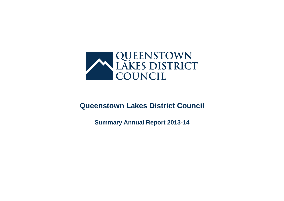

# **Queenstown Lakes District Council**

**Summary Annual Report 2013-14**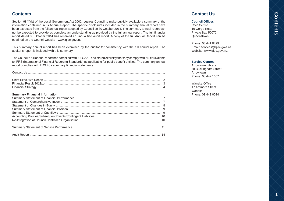# Contents **Contents**

# **Contents**

Section 98(4)(b) of the Local Government Act 2002 requires Council to make publicly available a summary of the information contained in its Annual Report. The specific disclosures included in the summary annual report have been extracted from the full annual report adopted by Council on 30 October 2014. The summary annual report can not be expected to provide as complete an understanding as provided by the full annual report. The full financial report dated 30 October 2014 has received an unqualified audit report. A copy of the full Annual Report can be obtained on the Council website - www.qldc.govt.nz

This summary annual report has been examined by the auditor for consistency with the full annual report. The auditor's report is included with this summary.

The Council's full annual report has complied with NZ GAAP and stated explicitly that they comply with NZ equivalents to IFRS (International Financial Reporting Standards) as applicable for public benefit entities. The summary annual report complies with FRS 43 - summary financial statements.

### **Summary Financial Information**

# **Contact Us**

### **Council Offices**

Civic Centre 10 Gorge Road Private Bag 50072 Queenstown

Phone: 03 441 0499 Email: services@qldc.govt.nz Website: www.qldc.govt.nz

### **Service Centres**

Arrowtown Library 58 Buckingham Street Arrowtown Phone: 03 442 1607

Wanaka Office 47 Ardmore Street Wanaka Phone: 03 443 0024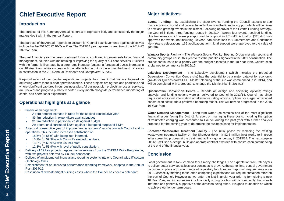# **Chief Executive Report**

# **Introduction**

The purpose of this Summary Annual Report is to represent fairly and consistently the major matters dealt with in the Annual Report.

The purpose of the Annual Report is to account for Council's achievements against objectives included in the 2012-2022 10-Year Plan. The 2013/14 year represents year two of the 2012-22 10-Year Plan.

The past financial year has seen continued focus on continued improvements to our financial management, coupled with maintaining or improving the quality of our core services. Success with the former is illustrated by a zero rates increase (against a forecasted 2.25% increase in our 10 Year Plan), while success with the latter is borne out by the across the board increases in satisfaction in the 2014 Annual Residents and Ratepayers' Survey.

Re-prioritisation of our capital expenditure projects has meant that we are focused on delivering where there is clear operational need. These projects are agreed and prioritised and where significant captured in our business plan. All business plan projects across all services, are tracked and progress publicly reported every month alongside performance monitoring of capital and operational expenditure.

# **Operational highlights at a glance**

- Financial management:
	- **-** A zero percent increase in rates for the second consecutive year.
	- **-** \$3.4m reduction in expenditure against budget.
	- **-** \$1.2m reduction in personnel costs against budget.
	- **-** An operational surplus of \$20m against a budgeted surplus of \$13m.
- A second consecutive year of improvement in residents' satisfaction with Council and its operations. This included increased satisfaction of:
	- **-** 18.5% (to 66%) with being kept informed.
	- **-** 15.2% (to 59.3%) with Council's elected members.
	- **-** 13.5% (to 66.9%) with Council staff.
	- **-** 12.3% (to 53.9%) with level of public consultation.
- Delivery of 22 key projects, against set milestones from the 2013/14 Work Programme, with two projects deferred by Council consensus.
- Delivery of amalgamated financial and reporting systems into one Council-wide IT system (Techology One).
- Establishment of an improved performance reporting framework, adopted in the Annual Plan 2014/15.
- Resolution of 3 weathertight building cases where the Council has been a defendant.

# **Major initiatives**

**Events Funding** – By establishing the Major Events Funding the Council' expects to see many economic, social and cultural benefits flow from the financial support which will be given to new and growing events in this district. Following approval of the Events Funding Strategy, the Council initiated three funding rounds in 2013/14. Twenty four events received funding, plus two events which were pre-approved for support in 2014-15. A total of \$528,446 was approved for events, not including 10 Year Plan allocations for Summerdaze and Christmas/ New Year's celebrations. 165 applications for in kind support were approved to the value of \$63,269.

**Wanaka Sports Facility** – The Wanaka Sports Facility Steering Group met with sports and community groups earlier this year to test the priorities signalled in the 2011 consultation. The project continues to be a priority with the budget allocated in the 10-Year Plan. Construction is planned to commence in 2015/16.

**Lakeview Development** – The Lakeview development (which includes the proposed Queenstown Convention Centre site) has the potential to be a major catalyst for economic growth for Queenstown's CBD. Master-planning of the site was commenced in 2013/14, and will be completed with a proposal to change the District Plan in 2014/15.

**Queenstown Convention Centre** – Reports on design and operating options; ratings analysis; and funding options were all delivered to Council in 2013/14. Council has since requested additional information on alternative rating options; options for staged or reduced construction costs; and a preferred operating model. This will now be progressed in the 2015 10 Year Plan.

**Water Demand Management** – Long-term water use remains one of the most significant financial issues facing the District. A report on managing these costs, including the option of volumetric charging was presented to Council during the past year with further analysis proposed for the coming year to determine the business case for implementation.

**Shotover Wastewater Treatment Facility - The initial phase for replacing the existing** wastewater treatment facility on the Shotover delta - a \$2.6 million inlet works to improve initial screening process at the treatment facility – got underway in 2013/14. The next stage in 2014/15 will see a design, build and operate contract awarded with construction commencing at the end of the financial year.

# **Conclusion**

Local government in New Zealand faces many challenges. The expectation from ratepayers to deliver better services at less cost continues to grow. At the same time, central government continues to place a growing range of regulatory functions and reporting requirements upon us. Successfully meeting these often competing expectations will require sustained effort on the part of Council. However as we enter the last financial year prior to formulating a new 10 Year Plan, we find ourselves in a financially strong position with a community that is wellinformed and generally supportive of the direction being taken. It is good foundation on which to achieve our longer term goals.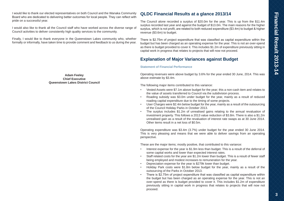I would like to thank our elected representatives on both Council and the Wanaka Community Board who are dedicated to delivering better outcomes for local people. They can reflect with pride on a successful year.

I would also like to thank all the Council staff who have worked across the diverse range of Council activities to deliver consistently high quality services to the community.

Finally, I would like to thank everyone in the Queenstown Lakes community who, whether formally or informally, have taken time to provide comment and feedback to us during the year.

> **Adam Feeley Chief Executive Queenstown Lakes District Council**

# **QLDC Financial Results at a glance 2013/14**

The Council alone recorded a surplus of \$20.0m for the year. This is up from the \$11.4m surplus recorded last year and against the budget of \$13.0m. The main reasons for the higher surplus, which is not profit, are related to both reduced expenditure (\$3.4m) to budget & higher revenue (\$3.6m) to budget.

There is \$2.75m of project expenditure that was classified as capital expenditure within the budget but has been charged as an operating expense for the year. This is not an over-spend as there is budget provided to cover it. This includes \$1.2m of expenditure previously sitting in capital work in progress that relates to projects that will now not proceed.

# **Explanation of Major Variances against Budget**

### **Statement of Financial Performance**

Operating revenues were above budget by 3.6% for the year ended 30 June, 2014. This was above estimate by \$3.4m.

The following major items contributed to this variance:

- Vested Assets were \$7.1m above budget for the year; this a non-cash item and relates to the value of assets transferred to Council via the subdivision process.
- Roading subsidy was \$3.0m under budget for the year, mainly as a result of reduced roading capital expenditure due to the timing of some projects.
- User Charges were \$2.4m below budget for the year, mainly as a result of the outsourcing of the Council Holiday Parks in October 2013.
- The surplus includes \$1.2m of unrealised gains relating to the annual revaluation of investment property. This follows a 2013 value reduction of \$3.8m. There is also a \$1.2m unrealised gain as a result of the revaluation of interest rate swaps as at 30 June 2014. Other items result in a net loss of \$0.5m.

Operating expenditure was \$3.4m (3.7%) under budget for the year ended 30 June 2014. This is very pleasing and means that we were able to deliver savings from an operating perspective.

These are the major items; mostly positive, that contributed to this variance:

- Interest expense for the year is \$1.9m less than budget. This is a result of the deferral of some capital works and lower than expected interest rates.
- Staff related costs for the year are \$1.2m lower than budget. This is a result of fewer staff being employed and modest increases to remuneration for the year.
- Depreciation expense for the year is \$279k lower than budget.
- Holiday Park costs were \$1.8m below budget for the year, mainly as a result of the outsourcing of the Parks in October 2013.
- There is \$2.75m of project expenditure that was classified as capital expenditure within the budget but has been charged as an operating expense for the year. This is not an over-spend as there is budget provided to cover it. This includes \$1.2m of expenditure previously sitting in capital work in progress that relates to projects that will now not proceed.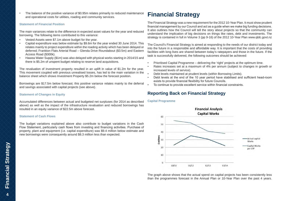• The balance of the positive variance of \$0.95m relates primarily to reduced maintenance and operational costs for utilities, roading and community services.

### **Statement of Financial Position**

The main variances relate to the difference in expected asset values for the year and reduced borrowing. The following items contributed to this variance:

- Vested Assets were \$7.1m above budget for the year.
- Capital expenditure was below estimate by \$9.6m for the year ended 30 June 2014. This relates mainly to project expenditure within the roading activity which has been delayed or deferred; Frankton Flats Arterial Road – Glenda Drive Roundabout (\$3.5m) and Eastern Access Road (\$300k).
- Hawea Water Supply (\$1m) was also delayed with physical works starting in 2014/15 and there is \$5.2m of unspent budget relating to reserve land acquisitions.

The revaluation of investment property resulted in an uplift in value of \$1.2m for the year. This movement coupled with previous unrealised losses, has led to the main variation in the balance sheet which shows Investment Property \$5.2m below the forecast position.

Borrowings are \$17.5m below forecast; this positive variance relates mainly to the deferral and savings associated with capital projects (see above).

### **Statement of Changes in Equity**

Accumulated differences between actual and budgeted net surpluses (for 2014 as described above) as well as the impact of the infrastructure revaluation and reduced borrowings has resulted in an equity variance of \$22.5m above forecast.

### **Statement of Cash Flows**

The budget variations explained above also contribute to budget variations in the Cash Flow Statement, particularly cash flows from investing and financing activities. Purchase of property, plant and equipment (i.e. capital expenditure) was \$9.4 million below estimate and new borrowings were consequently around \$8.3 million less than expected.

# **Financial Strategy**

The Financial Strategy was a new requirement for the 2012 10-Year Plan. It must show prudent financial management by our Council and act as a guide when we make big funding decisions. It also outlines how the Council will tell the story about projects so that the community can understand the implication of big decisions on things like rates, debt and investments. The strategy is contained in full in Volume 3 (pp 9-16) of the 2012 10-Year Plan www.qldc.govt.nz

The Council's Financial Strategy is aimed at responding to the needs of our district today and into the future in a responsible and affordable way. It is important that the costs of providing facilities with long lives are shared between today's ratepayers and those in the future. If the task is successfully delivered, the following outcomes should be achieved:

- Prioritised Capital Programme delivering the 'right' projects at the optimum time.
- Rates increases set at a maximum of 4% per annum (subject to changes in growth or increased levels of service).
- Debt levels maintained at prudent levels (within Borrowing Limits).
- Debt levels at the end of the 10 year period have stabilised and sufficient head-room exists to provide financial flexibility for future Councils.
- To continue to provide excellent service within financial constraints.

# **Reporting Back on Financial Strategy**

### **Capital Programme**



The graph above shows that the actual spend on capital projects has been consistently less than the programmes forecast in the Annual Plan or 10-Year Plan over the past 4 years.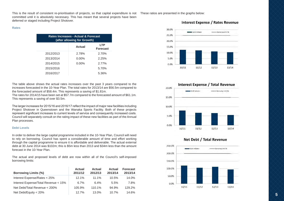This is the result of consistent re-prioritisation of projects, so that capital expenditure is not These ratios are presented in the graphs below: committed until it is absolutely necessary. This has meant that several projects have been deferred or staged including Project Shotover.

**Rates**

| Rates Increases - Actual & Forecast<br>(after allowing for Growth) |          |                         |  |  |  |  |
|--------------------------------------------------------------------|----------|-------------------------|--|--|--|--|
|                                                                    | Actual   | I TP<br><b>Forecast</b> |  |  |  |  |
| 2012/2013                                                          | 2.78%    | 2.70%                   |  |  |  |  |
| 2013/2014                                                          | $0.00\%$ | 2.25%                   |  |  |  |  |
| 2014/2015                                                          | $0.00\%$ | 2.77%                   |  |  |  |  |
| 2015/2016                                                          |          | 5.70%                   |  |  |  |  |
| 2016/2017                                                          |          | 5.36%                   |  |  |  |  |

The table above shows the actual rates increases over the past 3 years compared to the increases forecasted in the 10-Year Plan. The total rates for 2013/14 are \$56.5m compared to the forecasted amount of \$58.4m. This represents a saving of \$1.81m.

The rates for 2014/15 have been set at \$57.7m compared to the forecasted amount of \$61.1m. This represents a saving of over \$3.5m.

The larger increases for 2015/16 and 2016/17 reflect the impact of major new facilities including Project Shotover in Queenstown and the Wanaka Sports Facility. Both of these projects represent significant increases to current levels of service and consequently increased costs. Council will separately consult on the rating impact of these new facilities as part of the Annual Plan processes.

### **Debt Levels**

In order to deliver the large capital programme included in the 10-Year Plan, Council will need to rely on borrowing. Council has spent a considerable amount of time and effort working through the capital programme to ensure it is affordable and deliverable. The actual external debt at 30 June 2014 was \$102m; this is \$5m less than 2013 and \$34m less than the amount forecast in the 10-Year Plan.

The actual and proposed levels of debt are now within all of the Council's self-imposed borrowing limits:

| <b>Borrowing Limits (%)</b>          | <b>Actual</b><br>2011/12 | Actual<br>2012/13 | Actual<br>2013/14 | <b>Forecast</b><br>2013/14 |
|--------------------------------------|--------------------------|-------------------|-------------------|----------------------------|
| Interest Expense/Rates < 25%         | $12.1\%$                 | $11.1\%$          | 10.5%             | 14.0%                      |
| Interest Expense/Total Revenue < 15% | 6.7%                     | 6.4%              | 5.5%              | 7.8%                       |
| Net Debt/Total Revenue < 200%        | 105.9%                   | $110.1\%$         | $94.9\%$          | 129.2%                     |
| Net Debt/Equity $<$ 20%              | 12.7%                    | 13.0%             | 10.7%             | 14.6%                      |



### **Interest Expense / Rates Revenue**



### Net Debt / Total Revenue

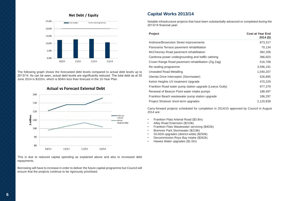

The following graph shows the forecasted debt levels compared to actual debt levels up to 2013/14. As can be seen, actual debt levels are significantly reduced. The total debt as at 30 June 2014 is \$102m, which is \$34m less than forecast in the 10-Year Plan.

**Actual vs Forecast External Debt** 



This is due to reduced capital spending as explained above and also to increased debt repayments.

Borrowing will have to increase in order to deliver the future capital programme but Council will ensure that the projects continue to be rigorously prioritised.

# **Capital Works 2013/14**

Notable infrastructure projects that have been substantially advanced or completed during the 2013/14 financial year:

| Project                                                 | <b>Cost at Year End</b><br>$2014($ \$) |
|---------------------------------------------------------|----------------------------------------|
| Ardmore/Brownston Street improvements                   | 873,317                                |
| Panorama Terrace pavement rehabilitation                | 70,134                                 |
| McChesney Road pavement rehabilitation                  | 382,206                                |
| Cardrona power undergrounding and traffic calming       | 386,603                                |
| Crown Range Road pavement rehabilitation (Zig Zag)      | 516,708                                |
| Re-sealing programme                                    | 3,596,191                              |
| Unsealed Road Metalling                                 | 1,040,207                              |
| Glenda Drive Interceptor (Stormwater)                   | 526,895                                |
| Kelvin Heights UV treatment Upgrade                     | 470,229                                |
| Frankton Road water pump station upgrade (Learys Gully) | 977,379                                |
| Renewal of Beacon Point water intake pumps              | 188,497                                |
| Frankton Beach wastewater pump station upgrade          | 186,297                                |
| Project Shotover short-term upgrades                    | 2,120,839                              |

Carry-forward projects scheduled for completion in 2014/15 approved by Council in August 2014 are:

- Frankton Flats Arterial Road (\$3.8m)
- Atley Road Extension (\$210k)
- Frankton Flats Wastewater servicing (\$402k)
- Bremner Park Stormwater (\$219k)
- SCADA upgrades (district-wide) (\$250k)
- Decommission Roys Bay Intake (\$262k)
- Hawea Water upgrades (\$1.0m)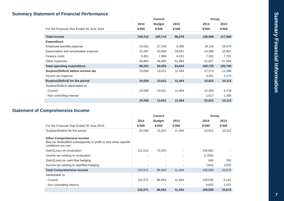# **Summary Statement of Financial Performance**

|                                           |         | <b>Council</b> |        |         | Group   |
|-------------------------------------------|---------|----------------|--------|---------|---------|
|                                           | 2014    | <b>Budget</b>  | 2013   | 2014    | 2013    |
| For the Financial Year Ended 30 June 2014 | \$'000  | \$'000         | \$'000 | \$'000  | \$'000  |
|                                           |         |                |        |         |         |
| <b>Total Income</b>                       | 109,312 | 105,714        | 96,078 | 128,008 | 117,988 |
| <b>Expenditure</b>                        |         |                |        |         |         |
| Employee benefits expense                 | 16,051  | 17,293         | 8,388  | 18,116  | 18,073  |
| Depreciation and amortisation expense     | 20,387  | 20,666         | 18,051 | 24,288  | 22,861  |
| Finance costs                             | 5,951   | 7,869          | 6,231  | 7,303   | 7,701   |
| Other expenses                            | 46,863  | 46,865         | 51,954 | 51,027  | 57,065  |
| <b>Total operating expenditure</b>        | 89,253  | 92,693         | 84,624 | 100,735 | 105,700 |
| Surplus/(Deficit) before income tax       | 20,059  | 13,021         | 11,454 | 27,273  | 12,288  |
| Income tax expense                        |         |                |        | 3,351   | 2,175   |
| Surplus/(Deficit) for the period          | 20,059  | 13,021         | 11,454 | 23,922  | 10,113  |
| Surplus/(Deficit) attributable to:        |         |                |        |         |         |
| - Council                                 | 20,059  | 13,021         | 11,454 | 22,305  | 8,718   |
| - Non controlling interest                |         |                |        | 1,617   | 1,395   |
|                                           | 20,059  | 13,021         | 11,454 | 23,922  | 10,113  |

# **Statement of Comprehensive Income**

|                                                                                                                             | <b>Council</b>           |               |                          |         | Group  |
|-----------------------------------------------------------------------------------------------------------------------------|--------------------------|---------------|--------------------------|---------|--------|
|                                                                                                                             | 2014                     | <b>Budget</b> | 2013                     | 2014    | 2013   |
| For the Financial Year Ended 30 June 2014                                                                                   | \$'000                   | \$'000        | \$'000                   | \$'000  | \$'000 |
| Surplus/(Deficit) for the period                                                                                            | 20,059                   | 13,021        | 11,454                   | 23,922  | 10,113 |
| <b>Other Comprehensive Income</b><br>May be reclassified subsequently to profit or loss when specific<br>conditions are met |                          |               |                          |         |        |
| Gain/(Loss) on revaluation                                                                                                  | 112,512                  | 73,033        |                          | 145,862 |        |
| Income tax relating to revaluation                                                                                          |                          |               | ٠                        | (1,695) |        |
| Gain/(Loss) on cash flow hedging                                                                                            | ٠                        | ٠             | ٠                        | 694     | 785    |
| Income tax relating to cashflow hedging                                                                                     | ٠                        |               |                          | (194)   | (220)  |
| <b>Total Comprehensive Income</b>                                                                                           | 132,571                  | 86,054        | 11,454                   | 168,589 | 10,678 |
| Attributable to:                                                                                                            |                          |               |                          |         |        |
| - Council                                                                                                                   | 132,571                  | 86,054        | 11,454                   | 158,936 | 9,141  |
| - Non controlling interest                                                                                                  | $\overline{\phantom{a}}$ |               | $\overline{\phantom{a}}$ | 9,653   | 1,537  |
|                                                                                                                             | 132,571                  | 86,054        | 11,454                   | 168,589 | 10,678 |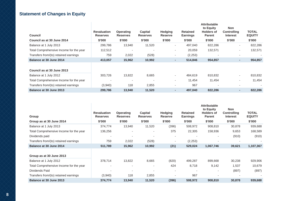# **Statement of Changes in Equity**

| <b>Council</b><br>Council as at 30 June 2014 | <b>Revaluation</b><br><b>Reserves</b><br>\$'000 | <b>Operating</b><br><b>Reserves</b><br>\$'000 | <b>Capital</b><br><b>Reserves</b><br>\$'000 | <b>Hedging</b><br><b>Reserve</b><br>\$'000 | <b>Retained</b><br><b>Earnings</b><br>\$'000 | <b>Attributable</b><br>to Equity<br><b>Holders of</b><br><b>Parent</b><br>\$'000 | <b>Non</b><br><b>Controlling</b><br><b>Interest</b><br>\$'000 | <b>TOTAL</b><br><b>EQUITY</b><br>\$'000 |
|----------------------------------------------|-------------------------------------------------|-----------------------------------------------|---------------------------------------------|--------------------------------------------|----------------------------------------------|----------------------------------------------------------------------------------|---------------------------------------------------------------|-----------------------------------------|
| Balance at 1 July 2013                       | 299,786                                         | 13,940                                        | 11,520                                      | ٠                                          | 497,040                                      | 822,286                                                                          | $\overline{\phantom{a}}$                                      | 822,286                                 |
| Total Comprehensive Income for the year      | 112,512                                         |                                               |                                             | ٠                                          | 20,059                                       | 132,571                                                                          | $\sim$                                                        | 132,571                                 |
| Transfers from/(to) retained earnings        | 759                                             | 2,022                                         | (528)                                       | ۰.                                         | (2,253)                                      |                                                                                  | $\overline{\phantom{a}}$                                      |                                         |
| Balance at 30 June 2014                      | 413,057                                         | 15,962                                        | 10,992                                      | ٠                                          | 514,846                                      | 954,857                                                                          | ٠                                                             | 954,857                                 |
| Council as at 30 June 2013                   |                                                 |                                               |                                             |                                            |                                              |                                                                                  |                                                               |                                         |
| Balance at 1 July 2012                       | 303.726                                         | 13,822                                        | 8,665                                       | ٠                                          | 484,619                                      | 810,832                                                                          | $\sim$                                                        | 810,832                                 |
| Total Comprehensive Income for the year      |                                                 | ٠                                             |                                             |                                            | 11,454                                       | 11,454                                                                           | ٠                                                             | 11,454                                  |
| Transfers from/(to) retained earnings        | (3,940)                                         | 118                                           | 2,855                                       |                                            | 967                                          |                                                                                  | $\overline{\phantom{a}}$                                      |                                         |
| Balance at 30 June 2013                      | 299,786                                         | 13,940                                        | 11,520                                      | ۰.                                         | 497,040                                      | 822,286                                                                          | ٠.                                                            | 822,286                                 |

| Group                                   | <b>Revaluation</b><br><b>Reserves</b> | <b>Operating</b><br><b>Reserves</b> | Capital<br><b>Reserves</b> | <b>Hedging</b><br><b>Reserve</b> | <b>Retained</b><br><b>Earnings</b> | <b>Attributable</b><br>to Equity<br><b>Holders of</b><br><b>Parent</b> | <b>Non</b><br><b>Controlling</b><br><b>Interest</b> | <b>TOTAL</b><br><b>EQUITY</b> |
|-----------------------------------------|---------------------------------------|-------------------------------------|----------------------------|----------------------------------|------------------------------------|------------------------------------------------------------------------|-----------------------------------------------------|-------------------------------|
| Group as at 30 June 2014                | \$'000                                | \$'000                              | \$'000                     | \$'000                           | \$'000                             | \$'000                                                                 | \$'000                                              | \$'000                        |
| Balance at 1 July 2013                  | 374,774                               | 13,940                              | 11,520                     | (396)                            | 508,972                            | 908,810                                                                | 30,878                                              | 939,688                       |
| Total Comprehensive Income for the year | 136,256                               |                                     | ٠                          | 375                              | 22,305                             | 158,936                                                                | 9,653                                               | 168,589                       |
| Dividends paid                          |                                       |                                     |                            |                                  |                                    |                                                                        | (910)                                               | (910)                         |
| Transfers from/(to) retained earnings   | 759                                   | 2,022                               | (528)                      |                                  | (2,253)                            | $\overline{\phantom{a}}$                                               | $\overline{a}$                                      |                               |
| Balance at 30 June 2014                 | 511,789                               | 15,962                              | 10,992                     | (21)                             | 529,024                            | 1,067,746                                                              | 39,621                                              | 1,107,367                     |
|                                         |                                       |                                     |                            |                                  |                                    |                                                                        |                                                     |                               |
| Group as at 30 June 2013                |                                       |                                     |                            |                                  |                                    |                                                                        |                                                     |                               |
| Balance at 1 July 2012                  | 378,714                               | 13,822                              | 8,665                      | (820)                            | 499,287                            | 899,668                                                                | 30,238                                              | 929,906                       |
| Total Comprehensive Income for the year |                                       | $\overline{\phantom{a}}$            | ٠                          | 424                              | 8,718                              | 9,142                                                                  | 1,537                                               | 10,679                        |
| Dividends Paid                          |                                       |                                     |                            |                                  |                                    |                                                                        | (897)                                               | (897)                         |
| Transfers from/(to) retained earnings   | (3,940)                               | 118                                 | 2,855                      |                                  | 967                                | $\overline{a}$                                                         |                                                     |                               |
| Balance at 30 June 2013                 | 374,774                               | 13,940                              | 11,520                     | (396)                            | 508,972                            | 908,810                                                                | 30,878                                              | 939,688                       |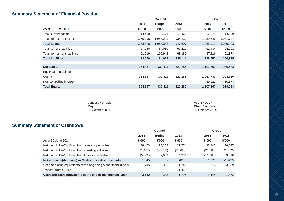# **Summary Statement of Financial Position**

|                                  |                | <b>Council</b> |         |           | Group     |
|----------------------------------|----------------|----------------|---------|-----------|-----------|
|                                  | 2014           | <b>Budget</b>  | 2013    | 2014      | 2013      |
| As at 30 June 2014               | \$'000         | \$'000         | \$'000  | \$'000    | \$'000    |
| Total current assets             | 14,420         | 10,174         | 12,465  | 16,371    | 14,299    |
| Total non-current assets         | 1,059,396      | 1,057,209      | 935,232 | 1,239,546 | 1,081,724 |
| <b>Total assets</b>              | 1,073,816      | 1,067,383      | 947,697 | 1,255,917 | 1,096,023 |
| <b>Total current liabilities</b> | 57,240         | 34,030         | 62,222  | 61,434    | 64,961    |
| Total non-current liabilities    | 61,719         | 100,942        | 63,189  | 87,116    | 91,374    |
| <b>Total liabilities</b>         | 118,959        | 134,972        | 125,411 | 148,550   | 156,335   |
|                                  |                |                |         |           |           |
| <b>Net assets</b>                | 954,857        | 932,411        | 822,286 | 1,107,367 | 939,688   |
| Equity attributable to:          |                |                |         |           |           |
| Council                          | 954,857        | 932,411        | 822,286 | 1,067,746 | 908,810   |
| Non controlling interest         | $\overline{a}$ |                |         | 39,621    | 30,878    |
| <b>Total Equity</b>              | 954,857        | 932,411        | 822,286 | 1,107,367 | 939,688   |

Vanessa van Uden<br>**Mayor Mayor Chief Executive**

30 October 2014 30 October 2014

# **Summary Statement of Cashflows**

|                                                                  | <b>Council</b> |               |           | Group     |           |
|------------------------------------------------------------------|----------------|---------------|-----------|-----------|-----------|
|                                                                  | 2014           | <b>Budget</b> | 2013      | 2014      | 2013      |
| As at 30 June 2014                                               | \$'000         | \$'000        | \$'000    | \$'000    | \$'000    |
| Net cash inflow/(outflow) from operating activities              | 28,473         | 28,203        | 29,574    | 37,842    | 36,847    |
| Net cash inflow/(outflow) from investing activities              | (21, 467)      | (30, 865)     | (34, 686) | (25, 585) | (41, 672) |
| Net cash inflow/(outflow) from financing activities              | (5,661)        | 2,662         | 4,254     | (10,684)  | 3,338     |
| Net increase/(decrease) in Cash and cash equivalents             | 1.345          |               | (858)     | 1,573     | (1, 487)  |
| Cash and cash equivalents at the beginning of the financial year | 1.795          | 382           | 1.240     | 1.872     | 3,359     |
| Transfer from CCO's                                              |                | ٠             | 1,413     | -         | ۰.        |
| Cash and cash equivalents at the end of the financial year       | 3.140          | 382           | 1.795     | 3.445     | 1,872     |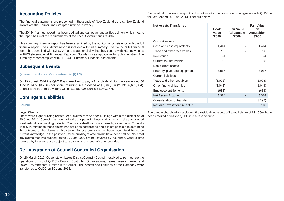### **Accounting Policies**

The financial statements are presented in thousands of New Zealand dollars. New Zealand dollars are the Council and Groups' functional currency.

The 2013/14 annual report has been audited and gained an unqualified opinion, which means the report has met the requirements of the Local Government Act 2002.

This summary financial report has been examined by the auditor for consistency with the full financial report. The auditor's report is included with this summary. The Council's full financial report has complied with NZ GAAP and stated explicitly that they comply with NZ equivalents to IFRS (International Financial Reporting Standards) as applicable for public entities. The summary report complies with FRS 43 – Summary Financial Statements.

### **Subsequent Events**

### **Queenstown Airport Corporation Ltd (QAC)**

On 19 August 2014 the QAC Board resolved to pay a final dividend for the year ended 30 June 2014 of \$0.2065 per share, resulting in a dividend of \$3,316,766 (2013: \$2,639,884). Council's share of this dividend will be \$2,487,906 (2013: \$1,980,177).

# **Contingent Liabilities**

**Council**

### **Legal Claims**

There were eight building related legal claims received for buildings within the district as at 30 June 2014. Council has been joined as a party in these claims, which relate to alleged weathertightness building defects. Claims are dealt with on a case by case basis. Council's liability in relation to these claims has not been established and it is not possible to determine the outcome of the claims at this stage. No loss provision has been recognised based on current knowledge. In the past year, three building related claims have been settled. Note that any claims received subsequent to 30 June 2009 are not covered by insurance. Other claims covered by insurance are subject to a cap as to the level of cover provided.

### **Re–Integration of Council Controlled Organisation**

On 20 March 2013, Queenstown Lakes District Council (Council) resolved to re-integrate the operations of two of QLDC's Council Controlled Organisations, Lakes Leisure Limited and Lakes Environmental Limited into Council. The assets and liabilities of the Company were transferred to QLDC on 30 June 2013.

Financial information in respect of the net assets transferred on re-integration with QLDC in the year ended 30 June, 2013 is set out below:

| <b>Net Assets Transferred</b> | <b>Book</b><br>Value<br>\$'000 | <b>Fair Value</b><br><b>Adjustment</b><br>\$'000 | <b>Fair Value</b><br>on<br><b>Acquisition</b><br>\$'000 |
|-------------------------------|--------------------------------|--------------------------------------------------|---------------------------------------------------------|
| <b>Current assets:</b>        |                                |                                                  |                                                         |
| Cash and cash equivalents     | 1,414                          |                                                  | 1,414                                                   |
| Trade and other receivables   | 700                            |                                                  | 700                                                     |
| Inventories                   | 24                             |                                                  | 24                                                      |
| Current tax refundable        | 68                             |                                                  | 68                                                      |
| Non-current assets:           |                                |                                                  |                                                         |
| Property, plant and equipment | 3,917                          |                                                  | 3,917                                                   |
| Current liabilities:          |                                |                                                  |                                                         |
| Trade and other payables      | (1,073)                        |                                                  | (1,073)                                                 |
| Other financial liabilities   | (1,048)                        |                                                  | (1,048)                                                 |
| Employee entitlements         | (688)                          |                                                  | (688)                                                   |
| <b>Net Assets Acquired</b>    | 3,314                          |                                                  | 3,314                                                   |
| Consideration for transfer    |                                |                                                  | (3, 196)                                                |
| Residual investment in CCO's  |                                |                                                  | 118                                                     |

Pursuant to shareholder resolution, the residual net assets of Lakes Leisure of \$3.196m, have been credited across to QLDC into a reserve fund.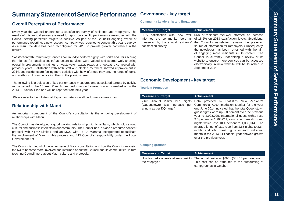# Summary Statement of Service Performance **Summary Statement of Service Performance**

# **Summary Statement of Service Performance** Governance - key target

### **Overall Perception of Performance**

Every year the Council undertakes a satisfaction survey of residents and ratepayers. The results of this annual survey are used to report on specific performance measures with the Council setting percentile targets to achieve. As part of the Council's ongoing review of performance reporting, a new research company was recruited to conduct this year's survey. As a result the data has been reconfigured for 2013 to provide greater confidence in the results.

Satisfaction with Community Services continued to perform highly, with parks and trails scoring the highest for satisfaction. Infrastructure services were valued and scored well, showing overall improvements in ratings of wastewater, water, roads and footpaths compared with previous years. Satisfaction with both staff and elected members showed improvement in 2014, and residents are feeling more satisfied with how informed they are, the range of topics and methods of communication than in the previous year.

The following is a selection of key performance measures and associated targets by activity as contained in the 10 Year Plan. A new performance framework was consulted on in the 2014-15 Annual Plan and will be reported from next year.

Please refer to the full Annual Report for details on all performance measures.

### **Relationship with Maori**

An important component of the Council's consultation is the on-going development of relationships with Maori.

The Council has developed a good working relationship with Ngai Tahu, which holds strong cultural and business interests in our community. The Council has in place a resource consent protocol with KTKO Limited and an MOU with Te Ao Marama Incorporated to facilitate the involvement of Maori in this process and fulfil Council's responsibility under the Local Government Act.

The Council is mindful of the wider issue of Maori consultation and how the Council can assist the Iwi to become more involved and informed about the Council and its communities, in turn teaching Council more about Maori culture and protocols.

**Community Leadership and Engagement**

| <b>Measure and Target</b> | <b>Achievement</b>                                                                                                                                                                                                                                                                                                                                                                                                                                                                                                                                                                                   |
|---------------------------|------------------------------------------------------------------------------------------------------------------------------------------------------------------------------------------------------------------------------------------------------------------------------------------------------------------------------------------------------------------------------------------------------------------------------------------------------------------------------------------------------------------------------------------------------------------------------------------------------|
| satisfaction survey.      | 65% satisfaction with how well 66% of residents feel well informed, an increase<br>informed the community feels as of 18.5% on 2013 satisfaction levels. Scuttlebutt,<br>measured by the annual residents' the Council's newsletter, remains the preferred<br>source of information for ratepayers. Subsequently,<br>the newsletter has been refreshed with the aim<br>of engaging more residents in its content. The<br>Council is currently undertaking a review of its<br>website to ensure more services can be accessed<br>electronically. A new website will be launched in<br>September 2014. |

### **Economic Development - key target**

### **Tourism Promotion**

|                                                                                                     | Data provided by Statistics New Zealand's                                                                                                                                                                                                                                                                                                                                                                                                                                                                              |
|-----------------------------------------------------------------------------------------------------|------------------------------------------------------------------------------------------------------------------------------------------------------------------------------------------------------------------------------------------------------------------------------------------------------------------------------------------------------------------------------------------------------------------------------------------------------------------------------------------------------------------------|
| 2.6m Annual Visitor bed<br>nights<br>(Queenstown) (3%<br>increase<br>per<br>annum as per DQ target) | Commercial Accommodation Monitor for the year<br>end June 2014 indicated that the total Queenstown<br>quest nights were up 9.8 percent over the previous<br>year to 2,908,025. International guest nights rose<br>9.5 percent to 1,900,011, alongside domestic quest<br>nights which rose 10.4 percent to 1,008,014. The<br>average length of stay rose from 2.55 nights to 2.64<br>nights, and total guest nights for each individual<br>month in the 2013-14 financial year showed growth<br>over the previous year. |

### **Camping grounds**

| <b>Measure and Target</b> | Achievement                                                                                                                                                               |
|---------------------------|---------------------------------------------------------------------------------------------------------------------------------------------------------------------------|
| the ratepayer             | Holiday parks operate at zero cost to The actual cost was \$696k (\$31.30 per ratepayer).<br>This cost can be attributed to the outsourcing of<br>campgrounds in October. |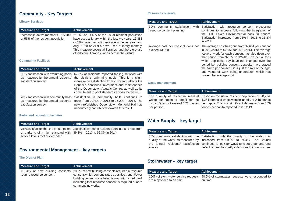# **Community - Key Targets**

### **Library Services**

| <b>Measure and Target</b>                                                | <b>Achievement</b>                                                                                                                                                                                                                                                                                                                    |
|--------------------------------------------------------------------------|---------------------------------------------------------------------------------------------------------------------------------------------------------------------------------------------------------------------------------------------------------------------------------------------------------------------------------------|
| Increase in active members - 15,780<br>or 55% of the resident population | 21,061 or 74.6% of the usual resident population<br>have used a library within the last two years. 16,383<br>or 58% have used a library once in the last year, and<br>only 7,020 or 24.9% have used a library monthly.<br>This measure covers all libraries, and therefore use<br>of individual libraries varies across the district. |

### **Community Facilities**

| <b>Measure and Target</b>                                                                             | <b>Achievement</b>                                                                                                                                                                                                                                                                                                      |
|-------------------------------------------------------------------------------------------------------|-------------------------------------------------------------------------------------------------------------------------------------------------------------------------------------------------------------------------------------------------------------------------------------------------------------------------|
| 65% satisfaction with swimming pools<br>as measured by the annual residents'<br>satisfaction survey.  | 67.8% of residents reported feeling satisfied with<br>the district's swimming pools. This is a slight<br>increase on satisfaction from 2013 and reflects the<br>Council's continued investment and maintenance<br>of the Queenstown Aquatic Centre, as well as its<br>commitment to pool standards across the district. |
| 70% satisfaction with community halls<br>as measured by the annual residents'<br>satisfaction survey. | Satisfaction in community halls continues to<br>grow, from 72.4% in 2013 to 76.2% in 2014. The<br>newly refurbished Queenstown Memorial Hall has<br>undoubtedly contributed towards this result.                                                                                                                        |

### **Parks and recreation facilities**

| <b>Measure and Target</b>                                                | Achievement                                                                                 |
|--------------------------------------------------------------------------|---------------------------------------------------------------------------------------------|
| of parks is of a high standard with $ 89.3\% $ in 2013 to 92.3% in 2014. | 75% satisfaction that the presentation Satisfaction among residents continues to rise, from |
| service levels met or exceeded                                           |                                                                                             |

# **Environmental Management – key targets**

### **The District Plan**

| <b>Measure and Target</b> | Achievement                                                                                                                                                                                                                                                                    |
|---------------------------|--------------------------------------------------------------------------------------------------------------------------------------------------------------------------------------------------------------------------------------------------------------------------------|
| require resource consent. | < 34% of new building consents 28.8% of new building consents required a resource<br>consent, which demonstrates a positive trend. Fewer<br>building consents are being issued with a 'red card'<br>indicating that resource consent is required prior to<br>commencing works. |

### **Resource consents**

| <b>Measure and Target</b>                                       | <b>Achievement</b>                                                                                                                                                                                                                                                                                                                                                                                                                                             |
|-----------------------------------------------------------------|----------------------------------------------------------------------------------------------------------------------------------------------------------------------------------------------------------------------------------------------------------------------------------------------------------------------------------------------------------------------------------------------------------------------------------------------------------------|
| 30% community satisfaction<br>with<br>resource consent planning | Satisfaction with resource consent processing<br>continues to improve following the integration of<br>the CCO Lakes Environmental back 'in house'.<br>Satisfaction increased from 23% in 2013 to 33.8%<br>in 2014.                                                                                                                                                                                                                                             |
| Average cost per consent does not<br>exceed \$3,500             | The average cost has gone from \$2,651 per consent<br>in 2012/2013 to \$2,951 for 2013/2014. The average<br>value of work for each consent has also risen over<br>that period from \$227k to \$244k. The actual fees<br>which applicants pay have not changed over the<br>period i.e. building consent deposits have stayed<br>the same per consent, it is just the mix of the type<br>and value of work being undertaken which has<br>moved the average cost. |

### **Waste management**

| <b>Measure and Target</b> | Achievement                                                                                                                                                                                                                                                                                                                    |
|---------------------------|--------------------------------------------------------------------------------------------------------------------------------------------------------------------------------------------------------------------------------------------------------------------------------------------------------------------------------|
| per person.               | The quantity of residential residual Based on the usual resident population of 28,224,<br>waste per capita to landfill for the 4,284 tonnes of waste went to landfill, or 0.15 tonnes<br>district Does not exceed 0.72 tonnes   per capita. This is a significant decrease from 0.79<br>tonnes per capita reported in 2012/13. |

# **Water Supply – key target**

| Measure and Target | Achievement                                                                                                                                                                                                                                                                                                           |
|--------------------|-----------------------------------------------------------------------------------------------------------------------------------------------------------------------------------------------------------------------------------------------------------------------------------------------------------------------|
| survey.            | 70% community satisfaction with the Satisfaction with the quality of the water has<br>quality of the water as measured by increased from 69.2% to 74.4%. The Council<br>the annual residents' satisfaction continues to look for ways to reduce demand and<br>defer the need for costly extensions to infrastructure. |

# **Stormwater – key target**

| <b>Measure and Target</b> | Achievement                                                                        |
|---------------------------|------------------------------------------------------------------------------------|
|                           | 100% of stormwater service requests 98.6% of stormwater requests were responded to |
| are responded to on time  | on time                                                                            |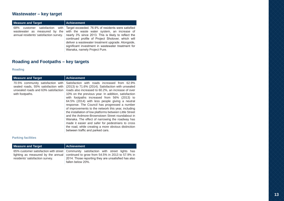# **Wastewater – key target**

| <b>Measure and Target</b>              | <b>Achievement</b>                                                                                                                                                                                                                                                                                                                                                                                                     |
|----------------------------------------|------------------------------------------------------------------------------------------------------------------------------------------------------------------------------------------------------------------------------------------------------------------------------------------------------------------------------------------------------------------------------------------------------------------------|
| annual residents' satisfaction survey. | 68% customer satisfaction with Target exceeded. 76.9% of residents were satisfied<br>wastewater as measured by the with the waste water system, an increase of<br>nearly 3% since 2013. This is likely to reflect the<br>continued profile of Project Shotover, which will<br>deliver a wastewater treatment upgrade. Alongside,<br>significant investment in wastewater treatment for<br>Wanaka, namely Project Pure. |

# **Roading and Footpaths – key targets**

### **Roading**

| <b>Measure and Target</b>                                                                                                          | <b>Achievement</b>                                                                                                                                                                                                                                                                                                                                                                                                                                                                                                                                                                                                                                                                                                                        |
|------------------------------------------------------------------------------------------------------------------------------------|-------------------------------------------------------------------------------------------------------------------------------------------------------------------------------------------------------------------------------------------------------------------------------------------------------------------------------------------------------------------------------------------------------------------------------------------------------------------------------------------------------------------------------------------------------------------------------------------------------------------------------------------------------------------------------------------------------------------------------------------|
| 70.5% community satisfaction with<br>sealed roads. 55% satisfaction with<br>unsealed roads and 63% satisfaction<br>with footpaths. | Satisfaction with roads increased from 62.9%<br>(2013) to 71.6% (2014). Satisfaction with unsealed<br>roads also increased to 60.2%, an increase of over<br>10% on the previous year. In addition, satisfaction<br>with footpaths increased from 56% (2013) to<br>64.5% (2014) with less people giving a neutral<br>response. The Council has progressed a number<br>of improvements to the network this year, including<br>the installation of low platforms between Little Street<br>and the Ardmore-Brownstown Street roundabout in<br>Wanaka. The effect of narrowing the roadway has<br>made it easier and safer for pedestrians to cross<br>the road, while creating a more obvious distinction<br>between traffic and parked cars. |

### **Parking facilities**

| <b>Measure and Target</b>       | Achievement                                                                                                                                                                                                                                            |
|---------------------------------|--------------------------------------------------------------------------------------------------------------------------------------------------------------------------------------------------------------------------------------------------------|
| residents' satisfaction survey. | 65% customer satisfaction with street Community satisfaction with street lights has<br>lighting as measured by the annual continued to grow from 54.5% in 2013 to 57.9% in<br>2014. Those reporting they are unsatisfied has also<br>fallen below 20%. |